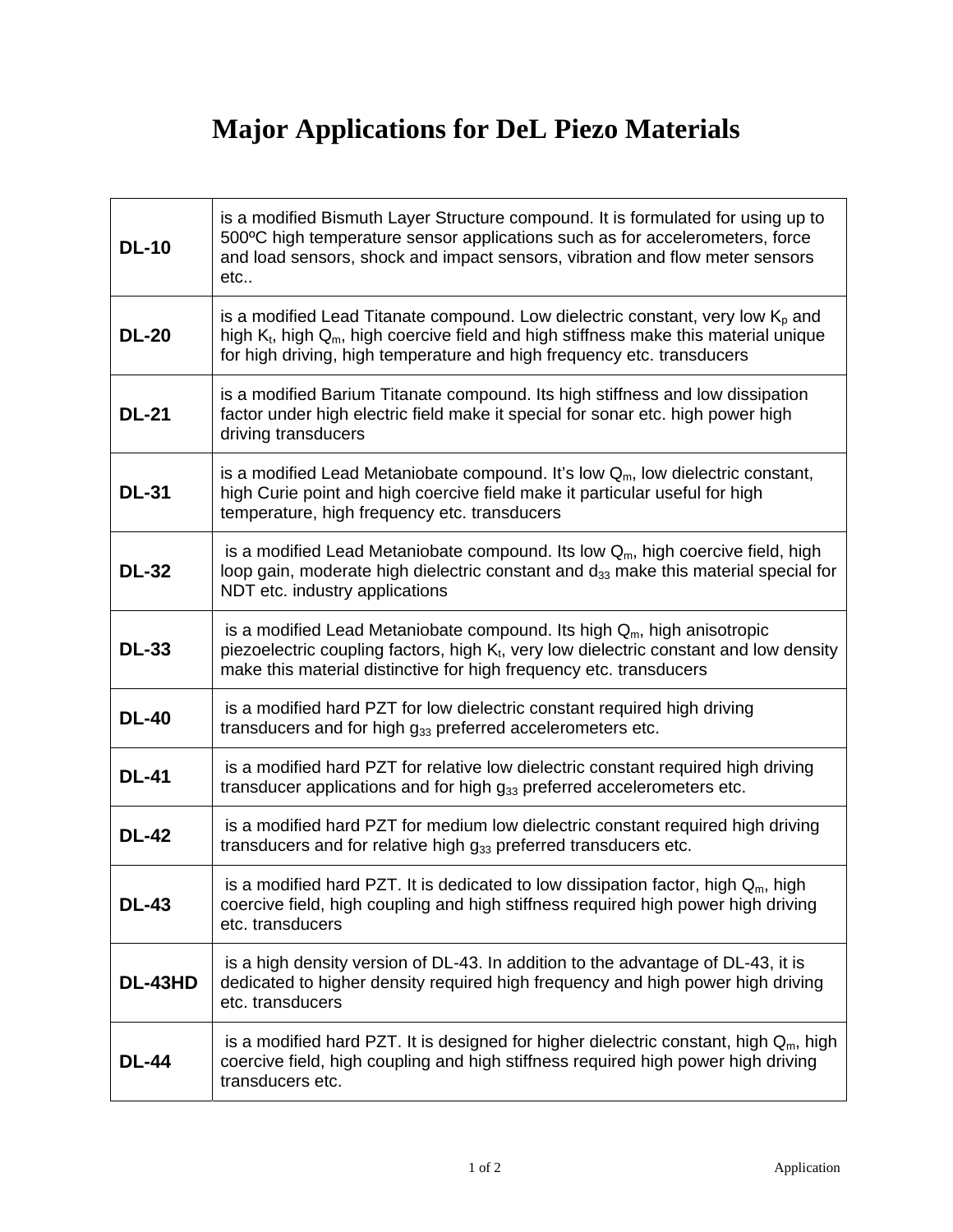## **Major Applications for DeL Piezo Materials**

| <b>DL-10</b> | is a modified Bismuth Layer Structure compound. It is formulated for using up to<br>500°C high temperature sensor applications such as for accelerometers, force<br>and load sensors, shock and impact sensors, vibration and flow meter sensors<br>etc  |
|--------------|----------------------------------------------------------------------------------------------------------------------------------------------------------------------------------------------------------------------------------------------------------|
| <b>DL-20</b> | is a modified Lead Titanate compound. Low dielectric constant, very low $KD$ and<br>high $K_t$ , high $Q_m$ , high coercive field and high stiffness make this material unique<br>for high driving, high temperature and high frequency etc. transducers |
| <b>DL-21</b> | is a modified Barium Titanate compound. Its high stiffness and low dissipation<br>factor under high electric field make it special for sonar etc. high power high<br>driving transducers                                                                 |
| <b>DL-31</b> | is a modified Lead Metaniobate compound. It's low $Q_m$ , low dielectric constant,<br>high Curie point and high coercive field make it particular useful for high<br>temperature, high frequency etc. transducers                                        |
| <b>DL-32</b> | is a modified Lead Metaniobate compound. Its low $Q_m$ , high coercive field, high<br>loop gain, moderate high dielectric constant and d33 make this material special for<br>NDT etc. industry applications                                              |
| <b>DL-33</b> | is a modified Lead Metaniobate compound. Its high $Qm$ , high anisotropic<br>piezoelectric coupling factors, high K <sub>t</sub> , very low dielectric constant and low density<br>make this material distinctive for high frequency etc. transducers    |
| <b>DL-40</b> | is a modified hard PZT for low dielectric constant required high driving<br>transducers and for high $g_{33}$ preferred accelerometers etc.                                                                                                              |
| <b>DL-41</b> | is a modified hard PZT for relative low dielectric constant required high driving<br>transducer applications and for high $g_{33}$ preferred accelerometers etc.                                                                                         |
| <b>DL-42</b> | is a modified hard PZT for medium low dielectric constant required high driving<br>transducers and for relative high $g_{33}$ preferred transducers etc.                                                                                                 |
| <b>DL-43</b> | is a modified hard PZT. It is dedicated to low dissipation factor, high $Q_m$ , high<br>coercive field, high coupling and high stiffness required high power high driving<br>etc. transducers                                                            |
| DL-43HD      | is a high density version of DL-43. In addition to the advantage of DL-43, it is<br>dedicated to higher density required high frequency and high power high driving<br>etc. transducers                                                                  |
| <b>DL-44</b> | is a modified hard PZT. It is designed for higher dielectric constant, high $Q_m$ , high<br>coercive field, high coupling and high stiffness required high power high driving<br>transducers etc.                                                        |